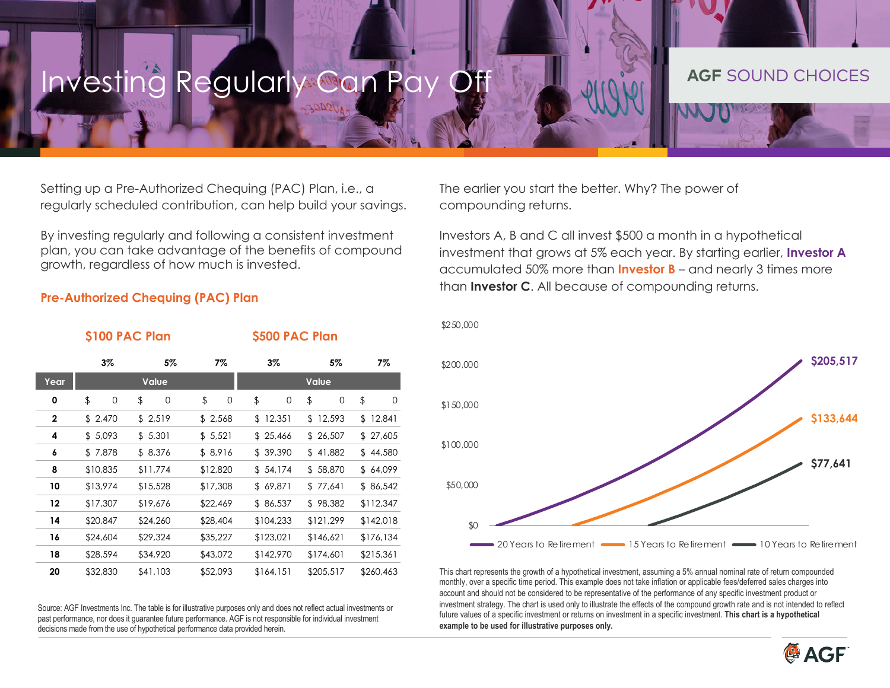## Investing Regularly Can Pay Off **Age and Sound AGF** SOUND CHOICES

Setting up a Pre-Authorized Chequing (PAC) Plan, i.e., a regularly scheduled contribution, can help build your savings.

By investing regularly and following a consistent investment plan, you can take advantage of the benefits of compound growth, regardless of how much is invested.

The earlier you start the better. Why? The power of compounding returns.

\$250,000

Investors A, B and C all invest \$500 a month in a hypothetical investment that grows at 5% each year. By starting earlier, **Investor A**  accumulated 50% more than **Investor B** – and nearly 3 times more than **Investor C**. All because of compounding returns.

### **Pre-Authorized Chequing (PAC) Plan**

|              | \$100 PAC Plan |          |          | \$500 PAC Plan |           |           |
|--------------|----------------|----------|----------|----------------|-----------|-----------|
|              | 3%             | 5%       | 7%       | 3%             | 5%        | 7%        |
| Year         | <b>Value</b>   |          |          | Value          |           |           |
| 0            | \$<br>0        | \$<br>0  | \$<br>0  | \$<br>0        | \$<br>0   | \$<br>0   |
| $\mathbf{2}$ | \$2,470        | \$2,519  | \$2,568  | \$12,351       | \$12,593  | \$12,841  |
| 4            | \$5,093        | \$5,301  | \$5,521  | \$25,466       | \$26,507  | \$27,605  |
| 6            | \$7,878        | \$8,376  | \$8,916  | \$39,390       | \$41,882  | \$44,580  |
| 8            | \$10,835       | \$11,774 | \$12,820 | \$54,174       | \$58,870  | \$64,099  |
| 10           | \$13,974       | \$15,528 | \$17,308 | \$69,871       | \$77,641  | \$86,542  |
| 12           | \$17,307       | \$19,676 | \$22,469 | \$86,537       | \$98,382  | \$112,347 |
| 14           | \$20,847       | \$24,260 | \$28,404 | \$104,233      | \$121,299 | \$142,018 |
| 16           | \$24,604       | \$29,324 | \$35,227 | \$123,021      | \$146,621 | \$176,134 |
| 18           | \$28,594       | \$34,920 | \$43,072 | \$142,970      | \$174,601 | \$215,361 |
| 20           | \$32,830       | \$41,103 | \$52,093 | \$164,151      | \$205,517 | \$260,463 |

Source: AGF Investments Inc. The table is for illustrative purposes only and does not reflect actual investments or past performance, nor does it guarantee future performance. AGF is not responsible for individual investment decisions made from the use of hypothetical performance data provided herein.



This chart represents the growth of a hypothetical investment, assuming a 5% annual nominal rate of return compounded monthly, over a specific time period. This example does not take inflation or applicable fees/deferred sales charges into account and should not be considered to be representative of the performance of any specific investment product or investment strategy. The chart is used only to illustrate the effects of the compound growth rate and is not intended to reflect future values of a specific investment or returns on investment in a specific investment. **This chart is a hypothetical example to be used for illustrative purposes only.**